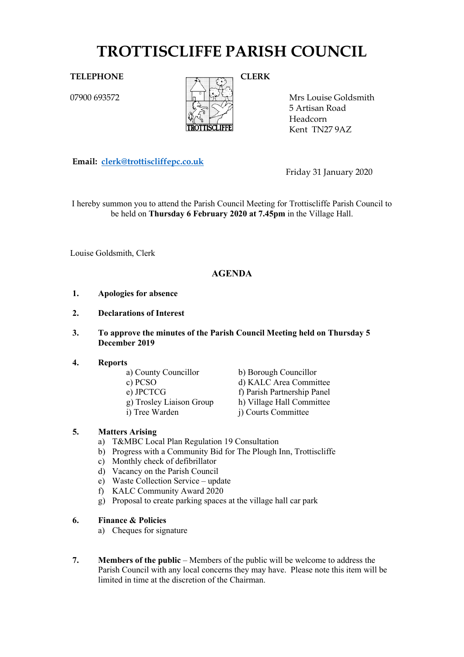# **TROTTISCLIFFE PARISH COUNCIL**

07900 693572



Mrs Louise Goldsmith 5 Artisan Road Headcorn Kent TN27 9AZ

**Email: [clerk@trottiscliffepc.co.uk](mailto:clerk@trottiscliffepc.co.uk)**

Friday 31 January 2020

I hereby summon you to attend the Parish Council Meeting for Trottiscliffe Parish Council to be held on **Thursday 6 February 2020 at 7.45pm** in the Village Hall.

Louise Goldsmith, Clerk

# **AGENDA**

- **1. Apologies for absence**
- **2. Declarations of Interest**
- **3. To approve the minutes of the Parish Council Meeting held on Thursday 5 December 2019**
- 
- **4. Reports**
	-
	-
	-
	-

a) County Councillor<br>
c) PCSO<br>
d) KALC Area Commi d) KALC Area Committee e) JPCTCG f) Parish Partnership Panel g) Trosley Liaison Group h) Village Hall Committee i) Tree Warden j) Courts Committee

### **5. Matters Arising**

- a) T&MBC Local Plan Regulation 19 Consultation
- b) Progress with a Community Bid for The Plough Inn, Trottiscliffe
- c) Monthly check of defibrillator
- d) Vacancy on the Parish Council
- e) Waste Collection Service update
- f) KALC Community Award 2020
- g) Proposal to create parking spaces at the village hall car park

#### **6. Finance & Policies**

- a) Cheques for signature
- **7. Members of the public** Members of the public will be welcome to address the Parish Council with any local concerns they may have. Please note this item will be limited in time at the discretion of the Chairman.